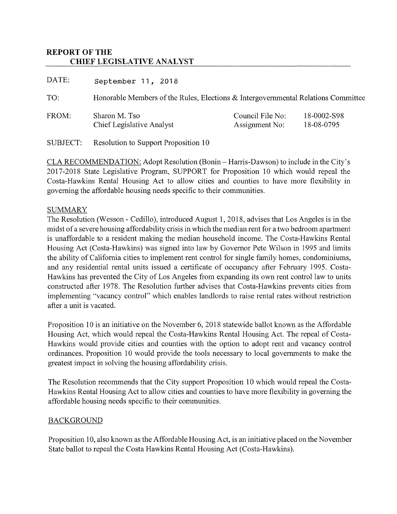# **REPORT OF THE CHIEF LEGISLATIVE ANALYST**

DATE: **September 11, 2018**

TO: Honorable Members of the Rules, Elections & Intergovernmental Relations Committee

| FROM: | Sharon M. Tso             | Council File No: | 18-0002-S98 |
|-------|---------------------------|------------------|-------------|
|       | Chief Legislative Analyst | Assignment No:   | 18-08-0795  |

SUBJECT: Resolution to Support Proposition 10

CLA RECOMMENDATION: Adopt Resolution (Bonin - Harris-Dawson) to include in the City's 2017-2018 State Legislative Program, SUPPORT for Proposition 10 which would repeal the Costa-Hawkins Rental Housing Act to allow cities and counties to have more flexibility in governing the affordable housing needs specific to their communities.

### SUMMARY

The Resolution (Wesson - Cedillo), introduced August 1, 2018, advises that Los Angeles is in the midst of a severe housing affordability crisis in which the median rent for a two bedroom apartment is unaffordable to a resident making the median household income. The Costa-Hawkins Rental Housing Act (Costa-Hawkins) was signed into law by Governor Pete Wilson in 1995 and limits the ability of California cities to implement rent control for single family homes, condominiums, and any residential rental units issued a certificate of occupancy after February 1995. Costa-Hawkins has prevented the City of Los Angeles from expanding its own rent control law to units constructed after 1978. The Resolution further advises that Costa-Hawkins prevents cities from implementing "vacancy control" which enables landlords to raise rental rates without restriction after a unit is vacated.

Proposition 10 is an initiative on the November 6, 2018 statewide ballot known as the Affordable Housing Act, which would repeal the Costa-Hawkins Rental Housing Act. The repeal of Costa-Hawkins would provide cities and counties with the option to adopt rent and vacancy control ordinances. Proposition 10 would provide the tools necessary to local governments to make the greatest impact in solving the housing affordability crisis.

The Resolution recommends that the City support Proposition 10 which would repeal the Costa-Hawkins Rental Housing Act to allow cities and counties to have more flexibility in governing the affordable housing needs specific to their communities.

## BACKGROUND

Proposition 10, also known as the Affordable Housing Act, is an initiative placed on the November State ballot to repeal the Costa Hawkins Rental Housing Act (Costa-Hawkins).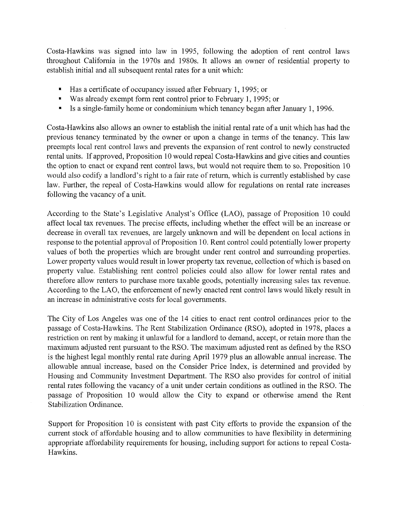Costa-Hawkins was signed into law in 1995, following the adoption of rent control laws throughout California in the 1970s and 1980s. It allows an owner of residential property to establish initial and all subsequent rental rates for a unit which:

- Has a certificate of occupancy issued after February 1, 1995; or
- Was already exempt form rent control prior to February 1, 1995; or
- \* Is a single-family home or condominium which tenancy began after January 1, 1996.

Costa-Hawkins also allows an owner to establish the initial rental rate of a unit which has had the previous tenancy terminated by the owner or upon a change in terms of the tenancy. This law preempts local rent control laws and prevents the expansion of rent control to newly constructed rental units. If approved, Proposition 10 would repeal Costa-Hawkins and give cities and counties the option to enact or expand rent control laws, but would not require them to so. Proposition 10 would also codify a landlord's right to a fair rate of return, which is currently established by case law. Further, the repeal of Costa-Hawkins would allow for regulations on rental rate increases following the vacancy of a unit.

According to the State's Legislative Analyst's Office (LAO), passage of Proposition 10 could affect local tax revenues. The precise effects, including whether the effect will be an increase or decrease in overall tax revenues, are largely unknown and will be dependent on local actions in response to the potential approval of Proposition 10. Rent control could potentially lower property values of both the properties which are brought under rent control and surrounding properties. Lower property values would result in lower property tax revenue, collection of which is based on property value. Establishing rent control policies could also allow for lower rental rates and therefore allow renters to purchase more taxable goods, potentially increasing sales tax revenue. According to the LAO, the enforcement of newly enacted rent control laws would likely result in an increase in administrative costs for local governments.

The City of Los Angeles was one of the 14 cities to enact rent control ordinances prior to the passage of Costa-Hawkins. The Rent Stabilization Ordinance (RSO), adopted in 1978, places a restriction on rent by making it unlawful for a landlord to demand, accept, or retain more than the maximum adjusted rent pursuant to the RSO. The maximum adjusted rent as defined by the RSO is the highest legal monthly rental rate during April 1979 plus an allowable annual increase. The allowable annual increase, based on the Consider Price Index, is determined and provided by Housing and Community Investment Department. The RSO also provides for control of initial rental rates following the vacancy of a unit under certain conditions as outlined in the RSO. The passage of Proposition 10 would allow the City to expand or otherwise amend the Rent Stabilization Ordinance.

Support for Proposition 10 is consistent with past City efforts to provide the expansion of the current stock of affordable housing and to allow communities to have flexibility in determining appropriate affordability requirements for housing, including support for actions to repeal Costa-Hawkins.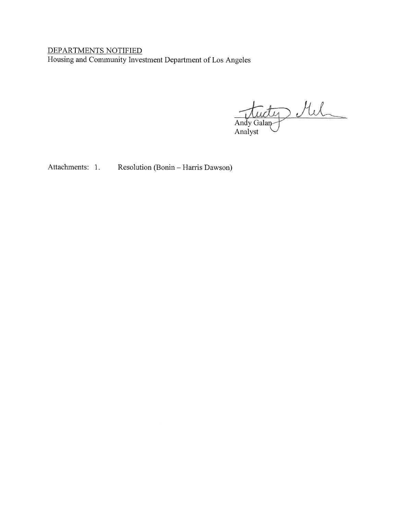# DEPARTMENTS NOTIFIED Housing and Community Investment Department of Los Angeles

*V* Andy Gala:

Analyst

Attachments: 1. Resolution (Bonin - Harris Dawson)